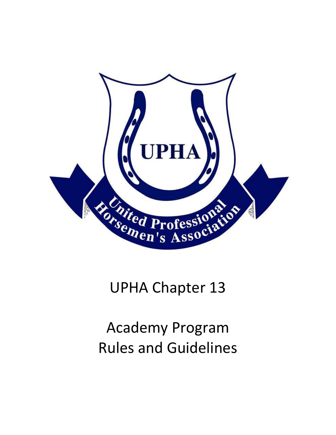

# UPHA Chapter 13

# Academy Program Rules and Guidelines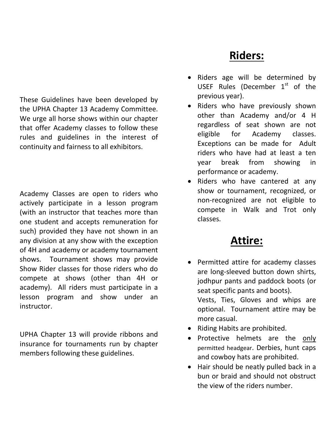These Guidelines have been developed by the UPHA Chapter 13 Academy Committee. We urge all horse shows within our chapter that offer Academy classes to follow these rules and guidelines in the interest of continuity and fairness to all exhibitors.

Academy Classes are open to riders who actively participate in a lesson program (with an instructor that teaches more than one student and accepts remuneration for such) provided they have not shown in an any division at any show with the exception of 4H and academy or academy tournament shows. Tournament shows may provide Show Rider classes for those riders who do compete at shows (other than 4H or academy). All riders must participate in a lesson program and show under an instructor.

UPHA Chapter 13 will provide ribbons and insurance for tournaments run by chapter members following these guidelines.

## **Riders:**

- Riders age will be determined by USEF Rules (December  $1<sup>st</sup>$  of the previous year).
- Riders who have previously shown other than Academy and/or 4 H regardless of seat shown are not eligible for Academy classes. Exceptions can be made for Adult riders who have had at least a ten year break from showing in performance or academy.
- Riders who have cantered at any show or tournament, recognized, or non-recognized are not eligible to compete in Walk and Trot only classes.

## **Attire:**

- Permitted attire for academy classes are long-sleeved button down shirts, jodhpur pants and paddock boots (or seat specific pants and boots). Vests, Ties, Gloves and whips are optional. Tournament attire may be more casual.
- Riding Habits are prohibited.
- Protective helmets are the only permitted headgear. Derbies, hunt caps and cowboy hats are prohibited.
- Hair should be neatly pulled back in a bun or braid and should not obstruct the view of the riders number.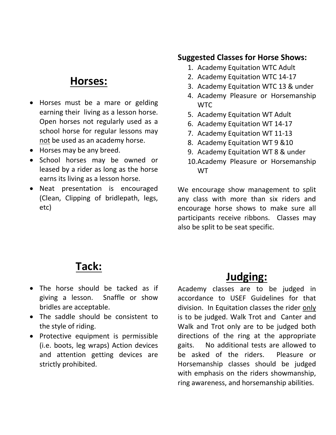#### **Horses:**

- Horses must be a mare or gelding earning their living as a lesson horse. Open horses not regularly used as a school horse for regular lessons may not be used as an academy horse.
- Horses may be any breed.
- School horses may be owned or leased by a rider as long as the horse earns its living as a lesson horse.
- Neat presentation is encouraged (Clean, Clipping of bridlepath, legs, etc)

#### **Suggested Classes for Horse Shows:**

- 1. Academy Equitation WTC Adult
- 2. Academy Equitation WTC 14-17
- 3. Academy Equitation WTC 13 & under
- 4. Academy Pleasure or Horsemanship WTC
- 5. Academy Equitation WT Adult
- 6. Academy Equitation WT 14-17
- 7. Academy Equitation WT 11-13
- 8. Academy Equitation WT 9 &10
- 9. Academy Equitation WT 8 & under
- 10.Academy Pleasure or Horsemanship WT

We encourage show management to split any class with more than six riders and encourage horse shows to make sure all participants receive ribbons. Classes may also be split to be seat specific.

#### **Tack:**

- The horse should be tacked as if giving a lesson. Snaffle or show bridles are acceptable.
- The saddle should be consistent to the style of riding.
- Protective equipment is permissible (i.e. boots, leg wraps) Action devices and attention getting devices are strictly prohibited.

### **Judging:**

Academy classes are to be judged in accordance to USEF Guidelines for that division. In Equitation classes the rider only is to be judged. Walk Trot and Canter and Walk and Trot only are to be judged both directions of the ring at the appropriate gaits. No additional tests are allowed to be asked of the riders. Pleasure or Horsemanship classes should be judged with emphasis on the riders showmanship, ring awareness, and horsemanship abilities.